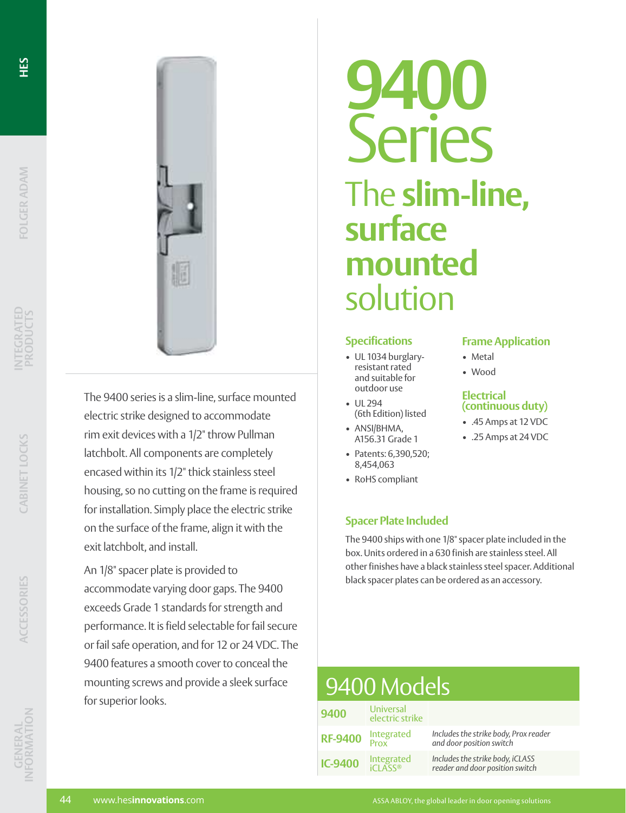HES





The 9400 series is a slim-line, surface mounted electric strike designed to accommodate rim exit devices with a 1/2" throw Pullman latchbolt. All components are completely encased within its 1/2" thick stainless steel housing, so no cutting on the frame is required for installation. Simply place the electric strike on the surface of the frame, align it with the exit latchbolt, and install.

An 1/8" spacer plate is provided to accommodate varying door gaps. The 9400 exceeds Grade 1 standards for strength and performance. It is field selectable for fail secure or fail safe operation, and for 12 or 24 VDC. The 9400 features a smooth cover to conceal the mounting screws and provide a sleek surface for superior looks.

# **9400** Series The **slim-line, surface mounted** solution

#### **Specifications**

- UL 1034 burglaryresistant rated and suitable for outdoor use
- UL 294 (6th Edition) listed
- ANSI/BHMA, A156.31 Grade 1
- Patents: 6,390,520; 8,454,063
- RoHS compliant

## **Spacer Plate Included**

The 9400 ships with one 1/8" spacer plate included in the box. Units ordered in a 630 finish are stainless steel. All other finishes have a black stainless steel spacer. Additional black spacer plates can be ordered as an accessory.

**Frame Application**

**(continuous duty)** • .45 Amps at 12 VDC • .25 Amps at 24 VDC

• Metal • Wood

**Electrical** 

| 9400 Models    |                              |                                                                     |
|----------------|------------------------------|---------------------------------------------------------------------|
| 9400           | Universal<br>electric strike |                                                                     |
| <b>RF-9400</b> | Integrated<br>Prox           | Includes the strike body, Prox reader<br>and door position switch   |
| <b>IC-9400</b> | Integrated                   | Includes the strike body, iCLASS<br>reader and door position switch |